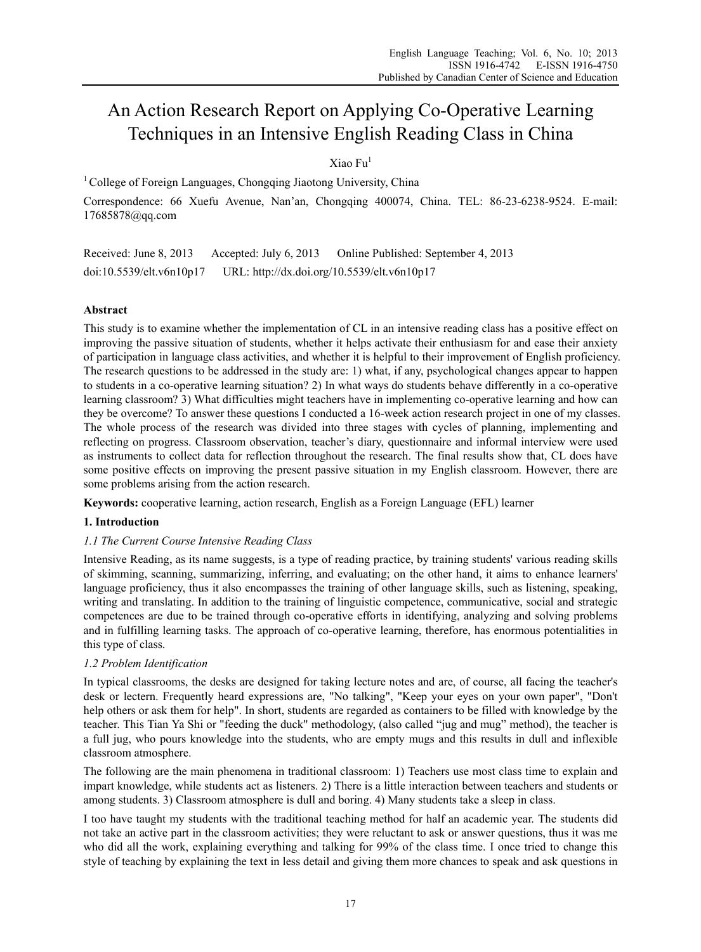# An Action Research Report on Applying Co-Operative Learning Techniques in an Intensive English Reading Class in China

 $X$ iao Fu $<sup>1</sup>$ </sup>

 $1$  College of Foreign Languages, Chongqing Jiaotong University, China

Correspondence: 66 Xuefu Avenue, Nan'an, Chongqing 400074, China. TEL: 86-23-6238-9524. E-mail: 17685878@qq.com

Received: June 8, 2013 Accepted: July 6, 2013 Online Published: September 4, 2013 doi:10.5539/elt.v6n10p17 URL: http://dx.doi.org/10.5539/elt.v6n10p17

# **Abstract**

This study is to examine whether the implementation of CL in an intensive reading class has a positive effect on improving the passive situation of students, whether it helps activate their enthusiasm for and ease their anxiety of participation in language class activities, and whether it is helpful to their improvement of English proficiency. The research questions to be addressed in the study are: 1) what, if any, psychological changes appear to happen to students in a co-operative learning situation? 2) In what ways do students behave differently in a co-operative learning classroom? 3) What difficulties might teachers have in implementing co-operative learning and how can they be overcome? To answer these questions I conducted a 16-week action research project in one of my classes. The whole process of the research was divided into three stages with cycles of planning, implementing and reflecting on progress. Classroom observation, teacher's diary, questionnaire and informal interview were used as instruments to collect data for reflection throughout the research. The final results show that, CL does have some positive effects on improving the present passive situation in my English classroom. However, there are some problems arising from the action research.

**Keywords:** cooperative learning, action research, English as a Foreign Language (EFL) learner

# **1. Introduction**

# *1.1 The Current Course Intensive Reading Class*

Intensive Reading, as its name suggests, is a type of reading practice, by training students' various reading skills of skimming, scanning, summarizing, inferring, and evaluating; on the other hand, it aims to enhance learners' language proficiency, thus it also encompasses the training of other language skills, such as listening, speaking, writing and translating. In addition to the training of linguistic competence, communicative, social and strategic competences are due to be trained through co-operative efforts in identifying, analyzing and solving problems and in fulfilling learning tasks. The approach of co-operative learning, therefore, has enormous potentialities in this type of class.

# *1.2 Problem Identification*

In typical classrooms, the desks are designed for taking lecture notes and are, of course, all facing the teacher's desk or lectern. Frequently heard expressions are, "No talking", "Keep your eyes on your own paper", "Don't help others or ask them for help". In short, students are regarded as containers to be filled with knowledge by the teacher. This Tian Ya Shi or "feeding the duck" methodology, (also called "jug and mug" method), the teacher is a full jug, who pours knowledge into the students, who are empty mugs and this results in dull and inflexible classroom atmosphere.

The following are the main phenomena in traditional classroom: 1) Teachers use most class time to explain and impart knowledge, while students act as listeners. 2) There is a little interaction between teachers and students or among students. 3) Classroom atmosphere is dull and boring. 4) Many students take a sleep in class.

I too have taught my students with the traditional teaching method for half an academic year. The students did not take an active part in the classroom activities; they were reluctant to ask or answer questions, thus it was me who did all the work, explaining everything and talking for 99% of the class time. I once tried to change this style of teaching by explaining the text in less detail and giving them more chances to speak and ask questions in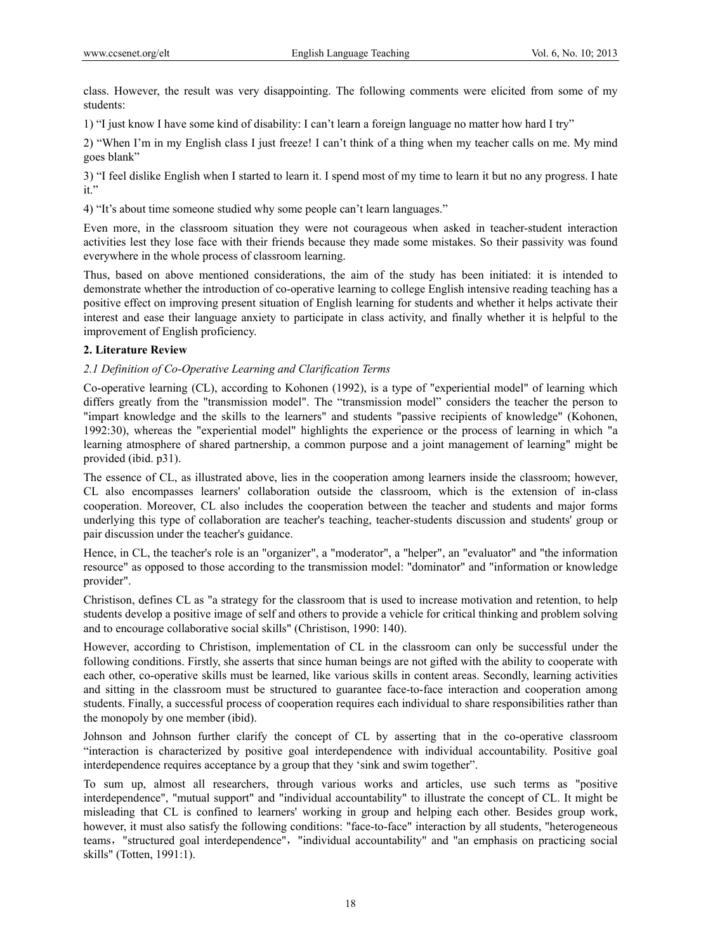class. However, the result was very disappointing. The following comments were elicited from some of my students:

1) "I just know I have some kind of disability: I can't learn a foreign language no matter how hard I try"

2) "When I'm in my English class I just freeze! I can't think of a thing when my teacher calls on me. My mind goes blank"

3) "I feel dislike English when I started to learn it. I spend most of my time to learn it but no any progress. I hate it."

4) "It's about time someone studied why some people can't learn languages."

Even more, in the classroom situation they were not courageous when asked in teacher-student interaction activities lest they lose face with their friends because they made some mistakes. So their passivity was found everywhere in the whole process of classroom learning.

Thus, based on above mentioned considerations, the aim of the study has been initiated: it is intended to demonstrate whether the introduction of co-operative learning to college English intensive reading teaching has a positive effect on improving present situation of English learning for students and whether it helps activate their interest and ease their language anxiety to participate in class activity, and finally whether it is helpful to the improvement of English proficiency.

## **2. Literature Review**

#### *2.1 Definition of Co-Operative Learning and Clarification Terms*

Co-operative learning (CL), according to Kohonen (1992), is a type of "experiential model" of learning which differs greatly from the "transmission model". The "transmission model" considers the teacher the person to "impart knowledge and the skills to the learners" and students "passive recipients of knowledge" (Kohonen, 1992:30), whereas the "experiential model" highlights the experience or the process of learning in which "a learning atmosphere of shared partnership, a common purpose and a joint management of learning" might be provided (ibid. p31).

The essence of CL, as illustrated above, lies in the cooperation among learners inside the classroom; however, CL also encompasses learners' collaboration outside the classroom, which is the extension of in-class cooperation. Moreover, CL also includes the cooperation between the teacher and students and major forms underlying this type of collaboration are teacher's teaching, teacher-students discussion and students' group or pair discussion under the teacher's guidance.

Hence, in CL, the teacher's role is an "organizer", a "moderator", a "helper", an "evaluator" and "the information resource" as opposed to those according to the transmission model: "dominator" and "information or knowledge provider".

Christison, defines CL as "a strategy for the classroom that is used to increase motivation and retention, to help students develop a positive image of self and others to provide a vehicle for critical thinking and problem solving and to encourage collaborative social skills" (Christison, 1990: 140).

However, according to Christison, implementation of CL in the classroom can only be successful under the following conditions. Firstly, she asserts that since human beings are not gifted with the ability to cooperate with each other, co-operative skills must be learned, like various skills in content areas. Secondly, learning activities and sitting in the classroom must be structured to guarantee face-to-face interaction and cooperation among students. Finally, a successful process of cooperation requires each individual to share responsibilities rather than the monopoly by one member (ibid).

Johnson and Johnson further clarify the concept of CL by asserting that in the co-operative classroom "interaction is characterized by positive goal interdependence with individual accountability. Positive goal interdependence requires acceptance by a group that they 'sink and swim together".

To sum up, almost all researchers, through various works and articles, use such terms as "positive interdependence", "mutual support" and "individual accountability" to illustrate the concept of CL. It might be misleading that CL is confined to learners' working in group and helping each other. Besides group work, however, it must also satisfy the following conditions: "face-to-face" interaction by all students, "heterogeneous teams,"structured goal interdependence","individual accountability" and "an emphasis on practicing social skills" (Totten, 1991:1).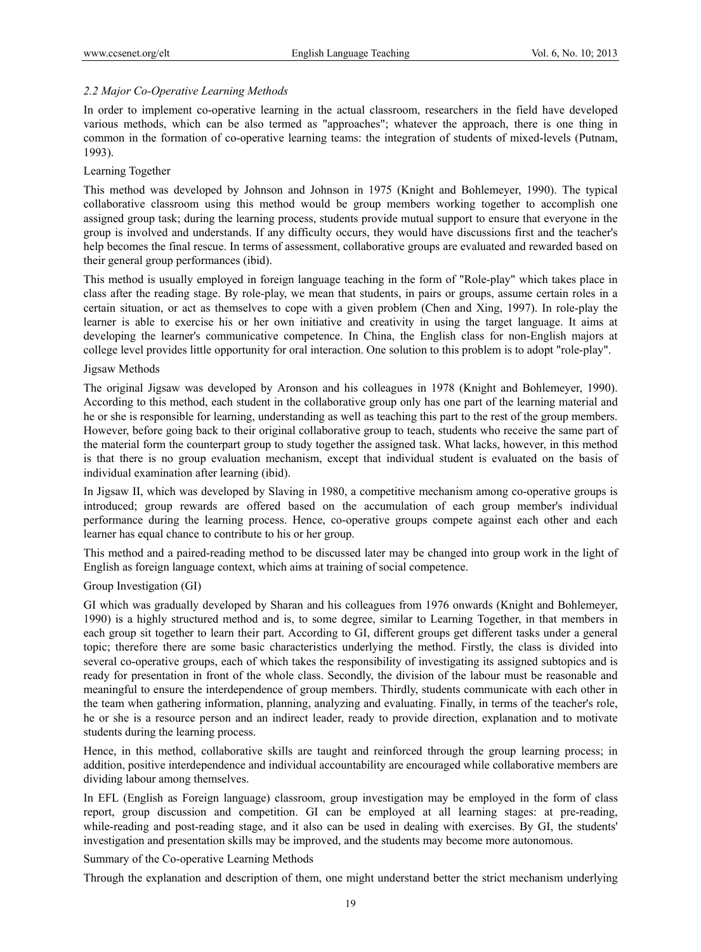#### *2.2 Major Co-Operative Learning Methods*

In order to implement co-operative learning in the actual classroom, researchers in the field have developed various methods, which can be also termed as "approaches"; whatever the approach, there is one thing in common in the formation of co-operative learning teams: the integration of students of mixed-levels (Putnam, 1993).

#### Learning Together

This method was developed by Johnson and Johnson in 1975 (Knight and Bohlemeyer, 1990). The typical collaborative classroom using this method would be group members working together to accomplish one assigned group task; during the learning process, students provide mutual support to ensure that everyone in the group is involved and understands. If any difficulty occurs, they would have discussions first and the teacher's help becomes the final rescue. In terms of assessment, collaborative groups are evaluated and rewarded based on their general group performances (ibid).

This method is usually employed in foreign language teaching in the form of "Role-play" which takes place in class after the reading stage. By role-play, we mean that students, in pairs or groups, assume certain roles in a certain situation, or act as themselves to cope with a given problem (Chen and Xing, 1997). In role-play the learner is able to exercise his or her own initiative and creativity in using the target language. It aims at developing the learner's communicative competence. In China, the English class for non-English majors at college level provides little opportunity for oral interaction. One solution to this problem is to adopt "role-play".

#### Jigsaw Methods

The original Jigsaw was developed by Aronson and his colleagues in 1978 (Knight and Bohlemeyer, 1990). According to this method, each student in the collaborative group only has one part of the learning material and he or she is responsible for learning, understanding as well as teaching this part to the rest of the group members. However, before going back to their original collaborative group to teach, students who receive the same part of the material form the counterpart group to study together the assigned task. What lacks, however, in this method is that there is no group evaluation mechanism, except that individual student is evaluated on the basis of individual examination after learning (ibid).

In Jigsaw II, which was developed by Slaving in 1980, a competitive mechanism among co-operative groups is introduced; group rewards are offered based on the accumulation of each group member's individual performance during the learning process. Hence, co-operative groups compete against each other and each learner has equal chance to contribute to his or her group.

This method and a paired-reading method to be discussed later may be changed into group work in the light of English as foreign language context, which aims at training of social competence.

#### Group Investigation (GI)

GI which was gradually developed by Sharan and his colleagues from 1976 onwards (Knight and Bohlemeyer, 1990) is a highly structured method and is, to some degree, similar to Learning Together, in that members in each group sit together to learn their part. According to GI, different groups get different tasks under a general topic; therefore there are some basic characteristics underlying the method. Firstly, the class is divided into several co-operative groups, each of which takes the responsibility of investigating its assigned subtopics and is ready for presentation in front of the whole class. Secondly, the division of the labour must be reasonable and meaningful to ensure the interdependence of group members. Thirdly, students communicate with each other in the team when gathering information, planning, analyzing and evaluating. Finally, in terms of the teacher's role, he or she is a resource person and an indirect leader, ready to provide direction, explanation and to motivate students during the learning process.

Hence, in this method, collaborative skills are taught and reinforced through the group learning process; in addition, positive interdependence and individual accountability are encouraged while collaborative members are dividing labour among themselves.

In EFL (English as Foreign language) classroom, group investigation may be employed in the form of class report, group discussion and competition. GI can be employed at all learning stages: at pre-reading, while-reading and post-reading stage, and it also can be used in dealing with exercises. By GI, the students' investigation and presentation skills may be improved, and the students may become more autonomous.

Summary of the Co-operative Learning Methods

Through the explanation and description of them, one might understand better the strict mechanism underlying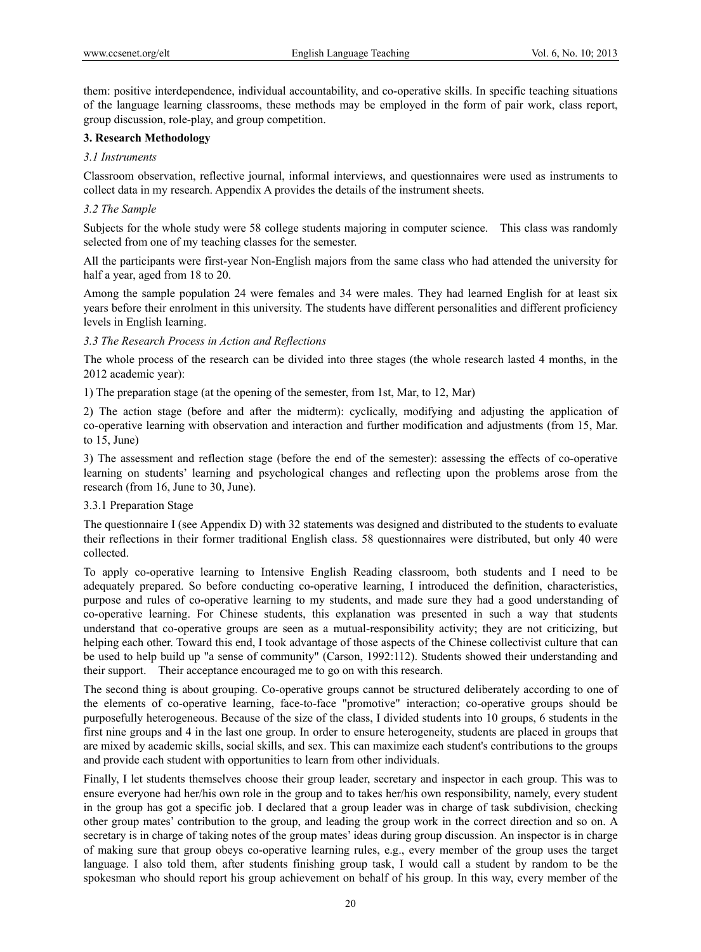them: positive interdependence, individual accountability, and co-operative skills. In specific teaching situations of the language learning classrooms, these methods may be employed in the form of pair work, class report, group discussion, role-play, and group competition.

## **3. Research Methodology**

#### *3.1 Instruments*

Classroom observation, reflective journal, informal interviews, and questionnaires were used as instruments to collect data in my research. Appendix A provides the details of the instrument sheets.

## *3.2 The Sample*

Subjects for the whole study were 58 college students majoring in computer science. This class was randomly selected from one of my teaching classes for the semester.

All the participants were first-year Non-English majors from the same class who had attended the university for half a year, aged from 18 to 20.

Among the sample population 24 were females and 34 were males. They had learned English for at least six years before their enrolment in this university. The students have different personalities and different proficiency levels in English learning.

## *3.3 The Research Process in Action and Reflections*

The whole process of the research can be divided into three stages (the whole research lasted 4 months, in the 2012 academic year):

1) The preparation stage (at the opening of the semester, from 1st, Mar, to 12, Mar)

2) The action stage (before and after the midterm): cyclically, modifying and adjusting the application of co-operative learning with observation and interaction and further modification and adjustments (from 15, Mar. to 15, June)

3) The assessment and reflection stage (before the end of the semester): assessing the effects of co-operative learning on students' learning and psychological changes and reflecting upon the problems arose from the research (from 16, June to 30, June).

#### 3.3.1 Preparation Stage

The questionnaire I (see Appendix D) with 32 statements was designed and distributed to the students to evaluate their reflections in their former traditional English class. 58 questionnaires were distributed, but only 40 were collected.

To apply co-operative learning to Intensive English Reading classroom, both students and I need to be adequately prepared. So before conducting co-operative learning, I introduced the definition, characteristics, purpose and rules of co-operative learning to my students, and made sure they had a good understanding of co-operative learning. For Chinese students, this explanation was presented in such a way that students understand that co-operative groups are seen as a mutual-responsibility activity; they are not criticizing, but helping each other. Toward this end, I took advantage of those aspects of the Chinese collectivist culture that can be used to help build up "a sense of community" (Carson, 1992:112). Students showed their understanding and their support. Their acceptance encouraged me to go on with this research.

The second thing is about grouping. Co-operative groups cannot be structured deliberately according to one of the elements of co-operative learning, face-to-face "promotive" interaction; co-operative groups should be purposefully heterogeneous. Because of the size of the class, I divided students into 10 groups, 6 students in the first nine groups and 4 in the last one group. In order to ensure heterogeneity, students are placed in groups that are mixed by academic skills, social skills, and sex. This can maximize each student's contributions to the groups and provide each student with opportunities to learn from other individuals.

Finally, I let students themselves choose their group leader, secretary and inspector in each group. This was to ensure everyone had her/his own role in the group and to takes her/his own responsibility, namely, every student in the group has got a specific job. I declared that a group leader was in charge of task subdivision, checking other group mates' contribution to the group, and leading the group work in the correct direction and so on. A secretary is in charge of taking notes of the group mates' ideas during group discussion. An inspector is in charge of making sure that group obeys co-operative learning rules, e.g., every member of the group uses the target language. I also told them, after students finishing group task, I would call a student by random to be the spokesman who should report his group achievement on behalf of his group. In this way, every member of the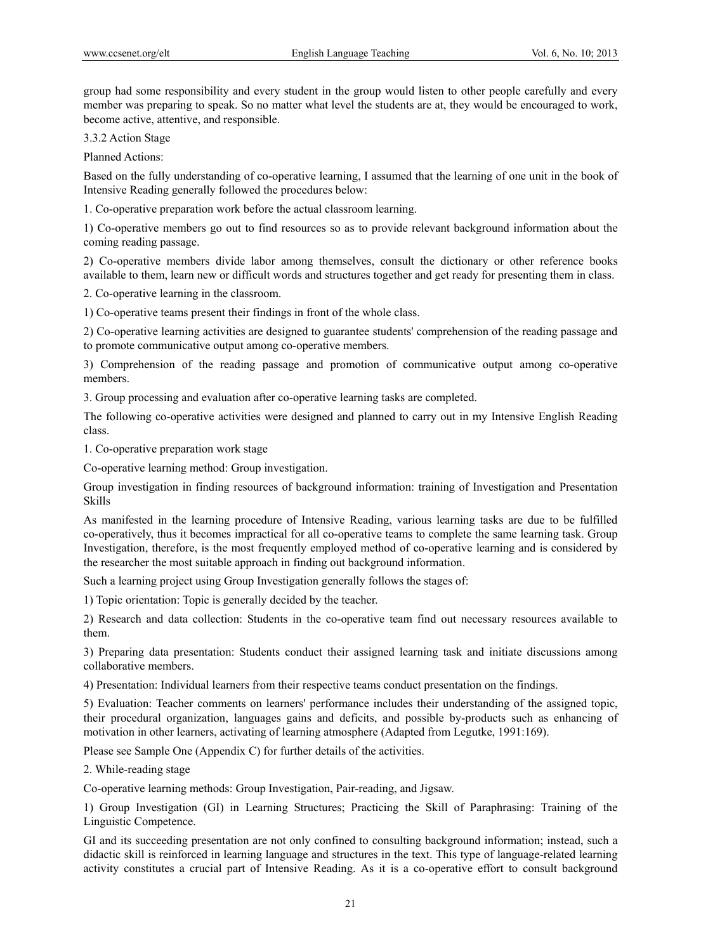group had some responsibility and every student in the group would listen to other people carefully and every member was preparing to speak. So no matter what level the students are at, they would be encouraged to work, become active, attentive, and responsible.

3.3.2 Action Stage

Planned Actions:

Based on the fully understanding of co-operative learning, I assumed that the learning of one unit in the book of Intensive Reading generally followed the procedures below:

1. Co-operative preparation work before the actual classroom learning.

1) Co-operative members go out to find resources so as to provide relevant background information about the coming reading passage.

2) Co-operative members divide labor among themselves, consult the dictionary or other reference books available to them, learn new or difficult words and structures together and get ready for presenting them in class.

2. Co-operative learning in the classroom.

1) Co-operative teams present their findings in front of the whole class.

2) Co-operative learning activities are designed to guarantee students' comprehension of the reading passage and to promote communicative output among co-operative members.

3) Comprehension of the reading passage and promotion of communicative output among co-operative members.

3. Group processing and evaluation after co-operative learning tasks are completed.

The following co-operative activities were designed and planned to carry out in my Intensive English Reading class.

1. Co-operative preparation work stage

Co-operative learning method: Group investigation.

Group investigation in finding resources of background information: training of Investigation and Presentation Skills

As manifested in the learning procedure of Intensive Reading, various learning tasks are due to be fulfilled co-operatively, thus it becomes impractical for all co-operative teams to complete the same learning task. Group Investigation, therefore, is the most frequently employed method of co-operative learning and is considered by the researcher the most suitable approach in finding out background information.

Such a learning project using Group Investigation generally follows the stages of:

1) Topic orientation: Topic is generally decided by the teacher.

2) Research and data collection: Students in the co-operative team find out necessary resources available to them.

3) Preparing data presentation: Students conduct their assigned learning task and initiate discussions among collaborative members.

4) Presentation: Individual learners from their respective teams conduct presentation on the findings.

5) Evaluation: Teacher comments on learners' performance includes their understanding of the assigned topic, their procedural organization, languages gains and deficits, and possible by-products such as enhancing of motivation in other learners, activating of learning atmosphere (Adapted from Legutke, 1991:169).

Please see Sample One (Appendix C) for further details of the activities.

2. While-reading stage

Co-operative learning methods: Group Investigation, Pair-reading, and Jigsaw.

1) Group Investigation (GI) in Learning Structures; Practicing the Skill of Paraphrasing: Training of the Linguistic Competence.

GI and its succeeding presentation are not only confined to consulting background information; instead, such a didactic skill is reinforced in learning language and structures in the text. This type of language-related learning activity constitutes a crucial part of Intensive Reading. As it is a co-operative effort to consult background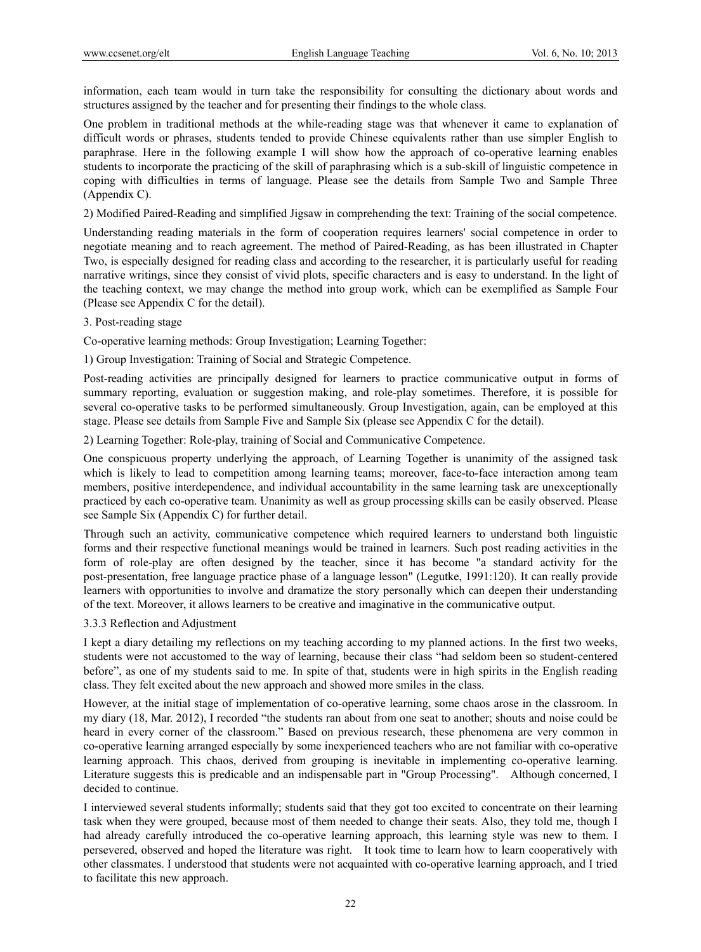information, each team would in turn take the responsibility for consulting the dictionary about words and structures assigned by the teacher and for presenting their findings to the whole class.

One problem in traditional methods at the while-reading stage was that whenever it came to explanation of difficult words or phrases, students tended to provide Chinese equivalents rather than use simpler English to paraphrase. Here in the following example I will show how the approach of co-operative learning enables students to incorporate the practicing of the skill of paraphrasing which is a sub-skill of linguistic competence in coping with difficulties in terms of language. Please see the details from Sample Two and Sample Three (Appendix C).

2) Modified Paired-Reading and simplified Jigsaw in comprehending the text: Training of the social competence.

Understanding reading materials in the form of cooperation requires learners' social competence in order to negotiate meaning and to reach agreement. The method of Paired-Reading, as has been illustrated in Chapter Two, is especially designed for reading class and according to the researcher, it is particularly useful for reading narrative writings, since they consist of vivid plots, specific characters and is easy to understand. In the light of the teaching context, we may change the method into group work, which can be exemplified as Sample Four (Please see Appendix C for the detail).

#### 3. Post-reading stage

Co-operative learning methods: Group Investigation; Learning Together:

1) Group Investigation: Training of Social and Strategic Competence.

Post-reading activities are principally designed for learners to practice communicative output in forms of summary reporting, evaluation or suggestion making, and role-play sometimes. Therefore, it is possible for several co-operative tasks to be performed simultaneously. Group Investigation, again, can be employed at this stage. Please see details from Sample Five and Sample Six (please see Appendix C for the detail).

2) Learning Together: Role-play, training of Social and Communicative Competence.

One conspicuous property underlying the approach, of Learning Together is unanimity of the assigned task which is likely to lead to competition among learning teams; moreover, face-to-face interaction among team members, positive interdependence, and individual accountability in the same learning task are unexceptionally practiced by each co-operative team. Unanimity as well as group processing skills can be easily observed. Please see Sample Six (Appendix C) for further detail.

Through such an activity, communicative competence which required learners to understand both linguistic forms and their respective functional meanings would be trained in learners. Such post reading activities in the form of role-play are often designed by the teacher, since it has become "a standard activity for the post-presentation, free language practice phase of a language lesson" (Legutke, 1991:120). It can really provide learners with opportunities to involve and dramatize the story personally which can deepen their understanding of the text. Moreover, it allows learners to be creative and imaginative in the communicative output.

#### 3.3.3 Reflection and Adjustment

I kept a diary detailing my reflections on my teaching according to my planned actions. In the first two weeks, students were not accustomed to the way of learning, because their class "had seldom been so student-centered before", as one of my students said to me. In spite of that, students were in high spirits in the English reading class. They felt excited about the new approach and showed more smiles in the class.

However, at the initial stage of implementation of co-operative learning, some chaos arose in the classroom. In my diary (18, Mar. 2012), I recorded "the students ran about from one seat to another; shouts and noise could be heard in every corner of the classroom." Based on previous research, these phenomena are very common in co-operative learning arranged especially by some inexperienced teachers who are not familiar with co-operative learning approach. This chaos, derived from grouping is inevitable in implementing co-operative learning. Literature suggests this is predicable and an indispensable part in "Group Processing". Although concerned, I decided to continue.

I interviewed several students informally; students said that they got too excited to concentrate on their learning task when they were grouped, because most of them needed to change their seats. Also, they told me, though I had already carefully introduced the co-operative learning approach, this learning style was new to them. I persevered, observed and hoped the literature was right. It took time to learn how to learn cooperatively with other classmates. I understood that students were not acquainted with co-operative learning approach, and I tried to facilitate this new approach.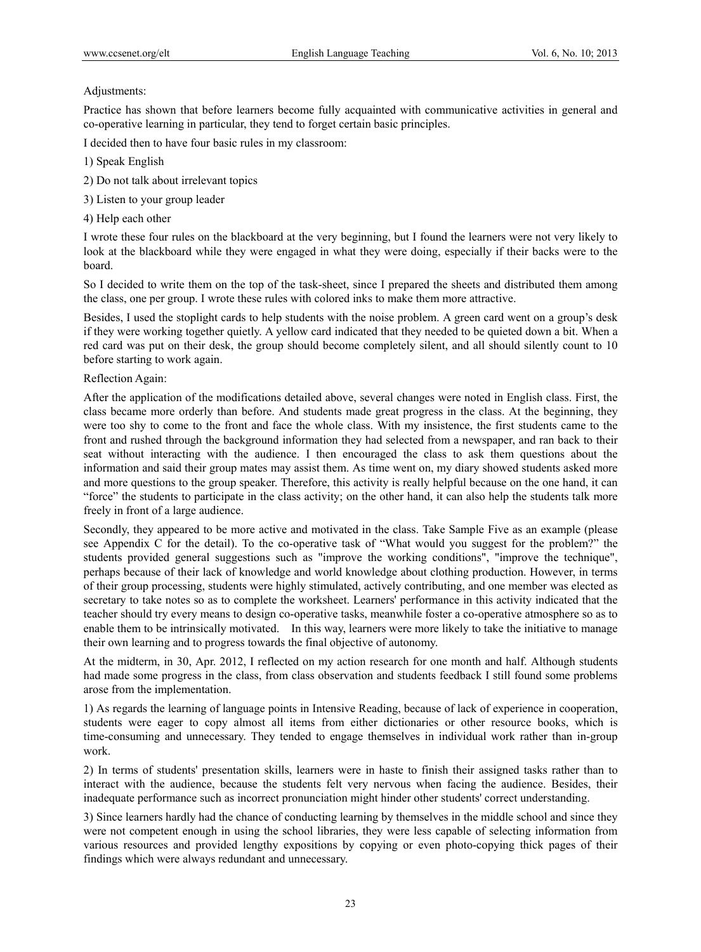## Adjustments:

Practice has shown that before learners become fully acquainted with communicative activities in general and co-operative learning in particular, they tend to forget certain basic principles.

I decided then to have four basic rules in my classroom:

- 1) Speak English
- 2) Do not talk about irrelevant topics
- 3) Listen to your group leader
- 4) Help each other

I wrote these four rules on the blackboard at the very beginning, but I found the learners were not very likely to look at the blackboard while they were engaged in what they were doing, especially if their backs were to the board.

So I decided to write them on the top of the task-sheet, since I prepared the sheets and distributed them among the class, one per group. I wrote these rules with colored inks to make them more attractive.

Besides, I used the stoplight cards to help students with the noise problem. A green card went on a group's desk if they were working together quietly. A yellow card indicated that they needed to be quieted down a bit. When a red card was put on their desk, the group should become completely silent, and all should silently count to 10 before starting to work again.

#### Reflection Again:

After the application of the modifications detailed above, several changes were noted in English class. First, the class became more orderly than before. And students made great progress in the class. At the beginning, they were too shy to come to the front and face the whole class. With my insistence, the first students came to the front and rushed through the background information they had selected from a newspaper, and ran back to their seat without interacting with the audience. I then encouraged the class to ask them questions about the information and said their group mates may assist them. As time went on, my diary showed students asked more and more questions to the group speaker. Therefore, this activity is really helpful because on the one hand, it can "force" the students to participate in the class activity; on the other hand, it can also help the students talk more freely in front of a large audience.

Secondly, they appeared to be more active and motivated in the class. Take Sample Five as an example (please see Appendix C for the detail). To the co-operative task of "What would you suggest for the problem?" the students provided general suggestions such as "improve the working conditions", "improve the technique", perhaps because of their lack of knowledge and world knowledge about clothing production. However, in terms of their group processing, students were highly stimulated, actively contributing, and one member was elected as secretary to take notes so as to complete the worksheet. Learners' performance in this activity indicated that the teacher should try every means to design co-operative tasks, meanwhile foster a co-operative atmosphere so as to enable them to be intrinsically motivated. In this way, learners were more likely to take the initiative to manage their own learning and to progress towards the final objective of autonomy.

At the midterm, in 30, Apr. 2012, I reflected on my action research for one month and half. Although students had made some progress in the class, from class observation and students feedback I still found some problems arose from the implementation.

1) As regards the learning of language points in Intensive Reading, because of lack of experience in cooperation, students were eager to copy almost all items from either dictionaries or other resource books, which is time-consuming and unnecessary. They tended to engage themselves in individual work rather than in-group work.

2) In terms of students' presentation skills, learners were in haste to finish their assigned tasks rather than to interact with the audience, because the students felt very nervous when facing the audience. Besides, their inadequate performance such as incorrect pronunciation might hinder other students' correct understanding.

3) Since learners hardly had the chance of conducting learning by themselves in the middle school and since they were not competent enough in using the school libraries, they were less capable of selecting information from various resources and provided lengthy expositions by copying or even photo-copying thick pages of their findings which were always redundant and unnecessary.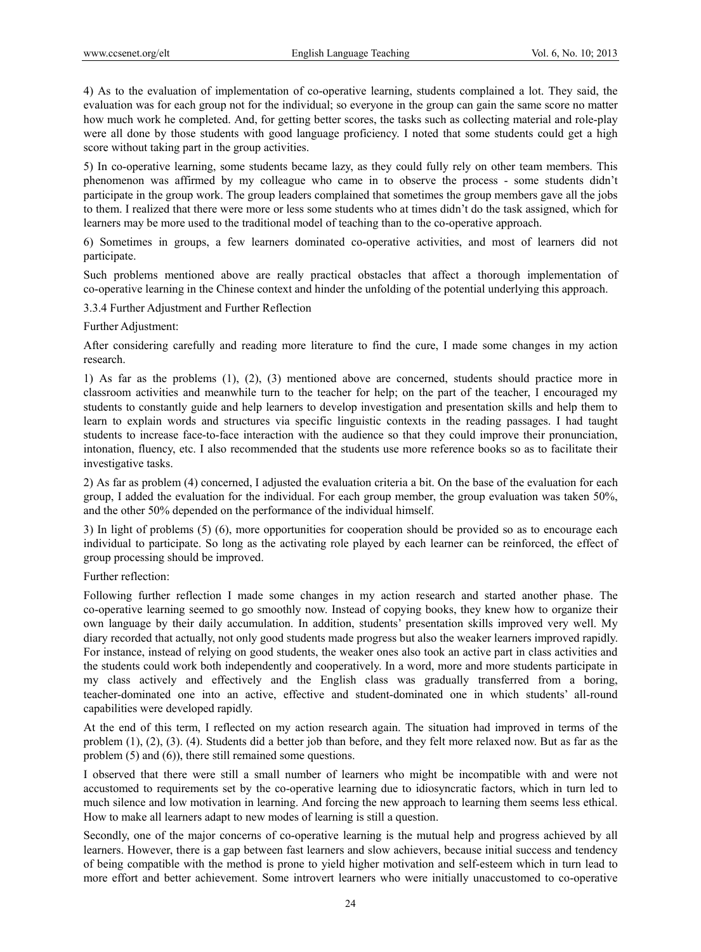4) As to the evaluation of implementation of co-operative learning, students complained a lot. They said, the evaluation was for each group not for the individual; so everyone in the group can gain the same score no matter how much work he completed. And, for getting better scores, the tasks such as collecting material and role-play were all done by those students with good language proficiency. I noted that some students could get a high score without taking part in the group activities.

5) In co-operative learning, some students became lazy, as they could fully rely on other team members. This phenomenon was affirmed by my colleague who came in to observe the process - some students didn't participate in the group work. The group leaders complained that sometimes the group members gave all the jobs to them. I realized that there were more or less some students who at times didn't do the task assigned, which for learners may be more used to the traditional model of teaching than to the co-operative approach.

6) Sometimes in groups, a few learners dominated co-operative activities, and most of learners did not participate.

Such problems mentioned above are really practical obstacles that affect a thorough implementation of co-operative learning in the Chinese context and hinder the unfolding of the potential underlying this approach.

3.3.4 Further Adjustment and Further Reflection

#### Further Adjustment:

After considering carefully and reading more literature to find the cure, I made some changes in my action research.

1) As far as the problems (1), (2), (3) mentioned above are concerned, students should practice more in classroom activities and meanwhile turn to the teacher for help; on the part of the teacher, I encouraged my students to constantly guide and help learners to develop investigation and presentation skills and help them to learn to explain words and structures via specific linguistic contexts in the reading passages. I had taught students to increase face-to-face interaction with the audience so that they could improve their pronunciation, intonation, fluency, etc. I also recommended that the students use more reference books so as to facilitate their investigative tasks.

2) As far as problem (4) concerned, I adjusted the evaluation criteria a bit. On the base of the evaluation for each group, I added the evaluation for the individual. For each group member, the group evaluation was taken 50%, and the other 50% depended on the performance of the individual himself.

3) In light of problems (5) (6), more opportunities for cooperation should be provided so as to encourage each individual to participate. So long as the activating role played by each learner can be reinforced, the effect of group processing should be improved.

Further reflection:

Following further reflection I made some changes in my action research and started another phase. The co-operative learning seemed to go smoothly now. Instead of copying books, they knew how to organize their own language by their daily accumulation. In addition, students' presentation skills improved very well. My diary recorded that actually, not only good students made progress but also the weaker learners improved rapidly. For instance, instead of relying on good students, the weaker ones also took an active part in class activities and the students could work both independently and cooperatively. In a word, more and more students participate in my class actively and effectively and the English class was gradually transferred from a boring, teacher-dominated one into an active, effective and student-dominated one in which students' all-round capabilities were developed rapidly.

At the end of this term, I reflected on my action research again. The situation had improved in terms of the problem (1), (2), (3). (4). Students did a better job than before, and they felt more relaxed now. But as far as the problem (5) and (6)), there still remained some questions.

I observed that there were still a small number of learners who might be incompatible with and were not accustomed to requirements set by the co-operative learning due to idiosyncratic factors, which in turn led to much silence and low motivation in learning. And forcing the new approach to learning them seems less ethical. How to make all learners adapt to new modes of learning is still a question.

Secondly, one of the major concerns of co-operative learning is the mutual help and progress achieved by all learners. However, there is a gap between fast learners and slow achievers, because initial success and tendency of being compatible with the method is prone to yield higher motivation and self-esteem which in turn lead to more effort and better achievement. Some introvert learners who were initially unaccustomed to co-operative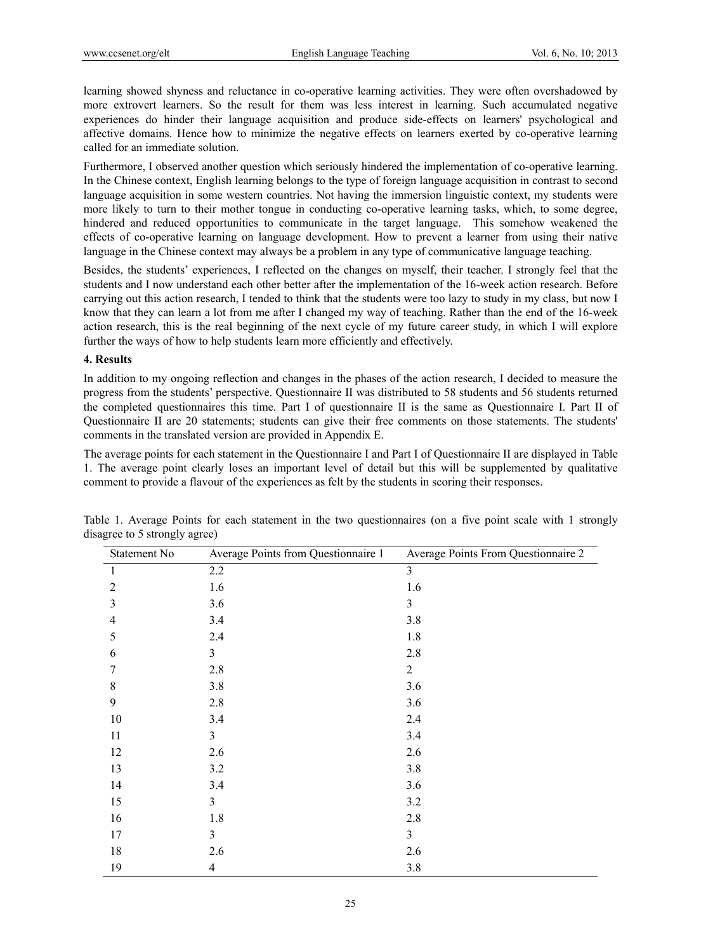learning showed shyness and reluctance in co-operative learning activities. They were often overshadowed by more extrovert learners. So the result for them was less interest in learning. Such accumulated negative experiences do hinder their language acquisition and produce side-effects on learners' psychological and affective domains. Hence how to minimize the negative effects on learners exerted by co-operative learning called for an immediate solution.

Furthermore, I observed another question which seriously hindered the implementation of co-operative learning. In the Chinese context, English learning belongs to the type of foreign language acquisition in contrast to second language acquisition in some western countries. Not having the immersion linguistic context, my students were more likely to turn to their mother tongue in conducting co-operative learning tasks, which, to some degree, hindered and reduced opportunities to communicate in the target language. This somehow weakened the effects of co-operative learning on language development. How to prevent a learner from using their native language in the Chinese context may always be a problem in any type of communicative language teaching.

Besides, the students' experiences, I reflected on the changes on myself, their teacher. I strongly feel that the students and I now understand each other better after the implementation of the 16-week action research. Before carrying out this action research, I tended to think that the students were too lazy to study in my class, but now I know that they can learn a lot from me after I changed my way of teaching. Rather than the end of the 16-week action research, this is the real beginning of the next cycle of my future career study, in which I will explore further the ways of how to help students learn more efficiently and effectively.

## **4. Results**

In addition to my ongoing reflection and changes in the phases of the action research, I decided to measure the progress from the students' perspective. Questionnaire II was distributed to 58 students and 56 students returned the completed questionnaires this time. Part I of questionnaire II is the same as Questionnaire I. Part II of Questionnaire II are 20 statements; students can give their free comments on those statements. The students' comments in the translated version are provided in Appendix E.

The average points for each statement in the Questionnaire I and Part I of Questionnaire II are displayed in Table 1. The average point clearly loses an important level of detail but this will be supplemented by qualitative comment to provide a flavour of the experiences as felt by the students in scoring their responses.

| Statement No   | Average Points from Questionnaire 1 | Average Points From Questionnaire 2 |
|----------------|-------------------------------------|-------------------------------------|
| 1              | 2.2                                 | $\mathfrak{Z}$                      |
| $\overline{2}$ | 1.6                                 | 1.6                                 |
| 3              | 3.6                                 | 3                                   |
| 4              | 3.4                                 | 3.8                                 |
| 5              | 2.4                                 | 1.8                                 |
| 6              | $\overline{3}$                      | 2.8                                 |
| 7              | 2.8                                 | $\overline{2}$                      |
| $\,8\,$        | 3.8                                 | 3.6                                 |
| 9              | 2.8                                 | 3.6                                 |
| 10             | 3.4                                 | 2.4                                 |
| 11             | 3                                   | 3.4                                 |
| 12             | 2.6                                 | 2.6                                 |
| 13             | 3.2                                 | 3.8                                 |
| 14             | 3.4                                 | 3.6                                 |
| 15             | 3                                   | 3.2                                 |
| 16             | 1.8                                 | 2.8                                 |
| 17             | $\overline{3}$                      | $\mathfrak{Z}$                      |
| 18             | 2.6                                 | 2.6                                 |
| 19             | $\overline{4}$                      | 3.8                                 |

Table 1. Average Points for each statement in the two questionnaires (on a five point scale with 1 strongly disagree to 5 strongly agree)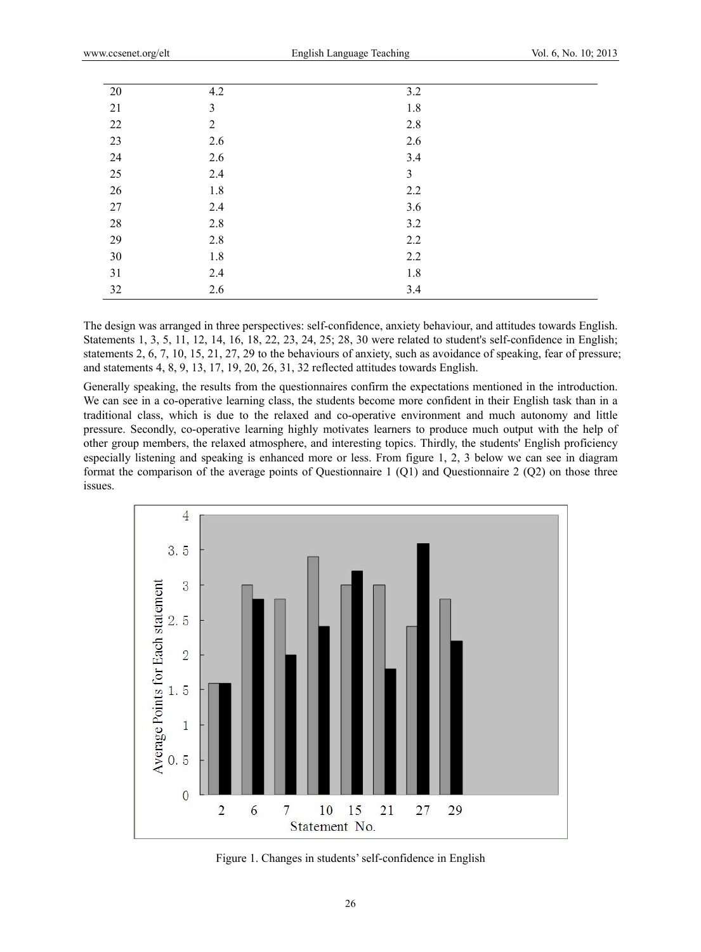| 20     | 4.2            | 3.2            |
|--------|----------------|----------------|
| 21     | $\mathfrak{Z}$ | $1.8\,$        |
| 22     | $\overline{2}$ | $2.8\,$        |
| 23     | 2.6            | 2.6            |
| 24     | 2.6            | 3.4            |
| 25     | 2.4            | $\overline{3}$ |
| $26\,$ | $1.8\,$        | 2.2            |
| $27\,$ | 2.4            | 3.6            |
| $28\,$ | 2.8            | 3.2            |
| 29     | 2.8            | 2.2            |
| $30\,$ | 1.8            | 2.2            |
| 31     | 2.4            | $1.8\,$        |
| 32     | 2.6            | 3.4            |

The design was arranged in three perspectives: self-confidence, anxiety behaviour, and attitudes towards English. Statements 1, 3, 5, 11, 12, 14, 16, 18, 22, 23, 24, 25; 28, 30 were related to student's self-confidence in English; statements 2, 6, 7, 10, 15, 21, 27, 29 to the behaviours of anxiety, such as avoidance of speaking, fear of pressure; and statements 4, 8, 9, 13, 17, 19, 20, 26, 31, 32 reflected attitudes towards English.

Generally speaking, the results from the questionnaires confirm the expectations mentioned in the introduction. We can see in a co-operative learning class, the students become more confident in their English task than in a traditional class, which is due to the relaxed and co-operative environment and much autonomy and little pressure. Secondly, co-operative learning highly motivates learners to produce much output with the help of other group members, the relaxed atmosphere, and interesting topics. Thirdly, the students' English proficiency especially listening and speaking is enhanced more or less. From figure 1, 2, 3 below we can see in diagram format the comparison of the average points of Questionnaire 1 (Q1) and Questionnaire 2 (Q2) on those three issues.



Figure 1. Changes in students' self-confidence in English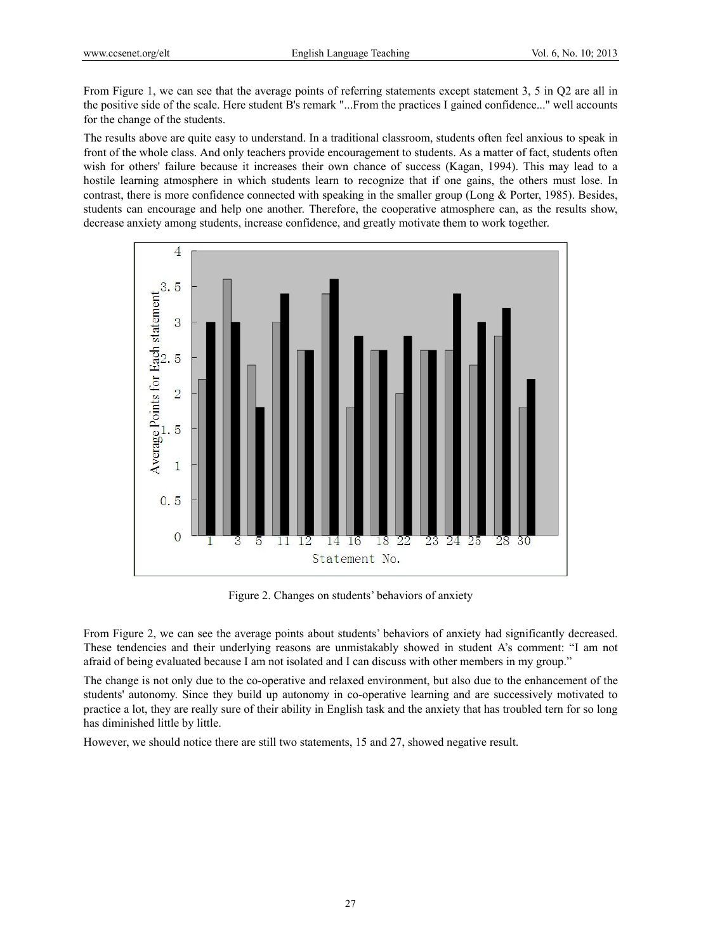From Figure 1, we can see that the average points of referring statements except statement 3, 5 in Q2 are all in the positive side of the scale. Here student B's remark "...From the practices I gained confidence..." well accounts for the change of the students.

The results above are quite easy to understand. In a traditional classroom, students often feel anxious to speak in front of the whole class. And only teachers provide encouragement to students. As a matter of fact, students often wish for others' failure because it increases their own chance of success (Kagan, 1994). This may lead to a hostile learning atmosphere in which students learn to recognize that if one gains, the others must lose. In contrast, there is more confidence connected with speaking in the smaller group (Long & Porter, 1985). Besides, students can encourage and help one another. Therefore, the cooperative atmosphere can, as the results show, decrease anxiety among students, increase confidence, and greatly motivate them to work together.



Figure 2. Changes on students' behaviors of anxiety

From Figure 2, we can see the average points about students' behaviors of anxiety had significantly decreased. These tendencies and their underlying reasons are unmistakably showed in student A's comment: "I am not afraid of being evaluated because I am not isolated and I can discuss with other members in my group."

The change is not only due to the co-operative and relaxed environment, but also due to the enhancement of the students' autonomy. Since they build up autonomy in co-operative learning and are successively motivated to practice a lot, they are really sure of their ability in English task and the anxiety that has troubled tern for so long has diminished little by little.

However, we should notice there are still two statements, 15 and 27, showed negative result.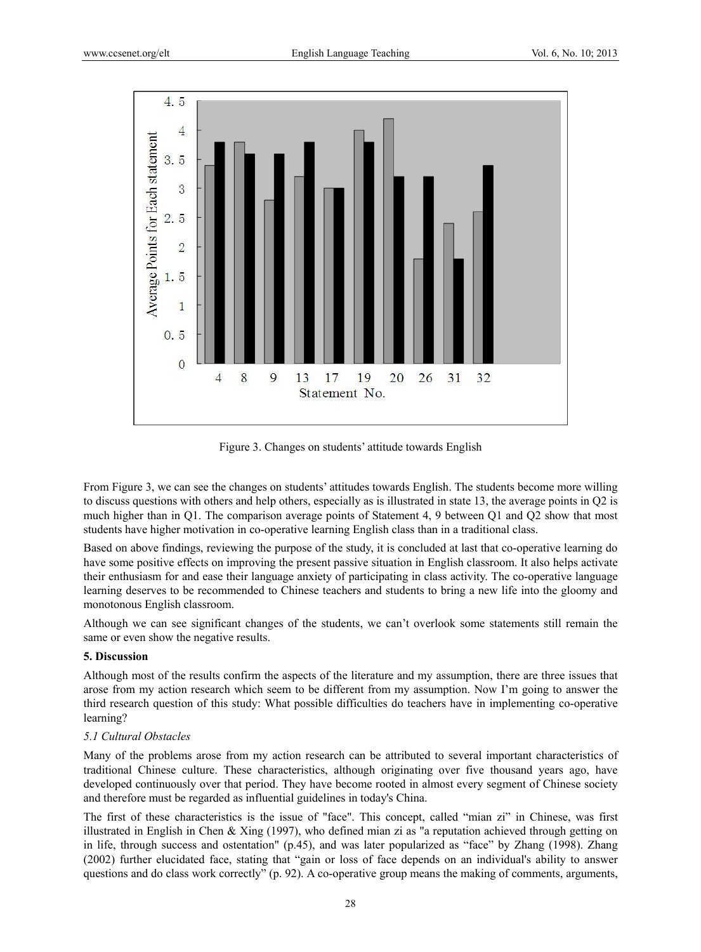

Figure 3. Changes on students' attitude towards English

From Figure 3, we can see the changes on students' attitudes towards English. The students become more willing to discuss questions with others and help others, especially as is illustrated in state 13, the average points in Q2 is much higher than in Q1. The comparison average points of Statement 4, 9 between Q1 and Q2 show that most students have higher motivation in co-operative learning English class than in a traditional class.

Based on above findings, reviewing the purpose of the study, it is concluded at last that co-operative learning do have some positive effects on improving the present passive situation in English classroom. It also helps activate their enthusiasm for and ease their language anxiety of participating in class activity. The co-operative language learning deserves to be recommended to Chinese teachers and students to bring a new life into the gloomy and monotonous English classroom.

Although we can see significant changes of the students, we can't overlook some statements still remain the same or even show the negative results.

## **5. Discussion**

Although most of the results confirm the aspects of the literature and my assumption, there are three issues that arose from my action research which seem to be different from my assumption. Now I'm going to answer the third research question of this study: What possible difficulties do teachers have in implementing co-operative learning?

# *5.1 Cultural Obstacles*

Many of the problems arose from my action research can be attributed to several important characteristics of traditional Chinese culture. These characteristics, although originating over five thousand years ago, have developed continuously over that period. They have become rooted in almost every segment of Chinese society and therefore must be regarded as influential guidelines in today's China.

The first of these characteristics is the issue of "face". This concept, called "mian zi" in Chinese, was first illustrated in English in Chen & Xing (1997), who defined mian zi as "a reputation achieved through getting on in life, through success and ostentation" (p.45), and was later popularized as "face" by Zhang (1998). Zhang (2002) further elucidated face, stating that "gain or loss of face depends on an individual's ability to answer questions and do class work correctly" (p. 92). A co-operative group means the making of comments, arguments,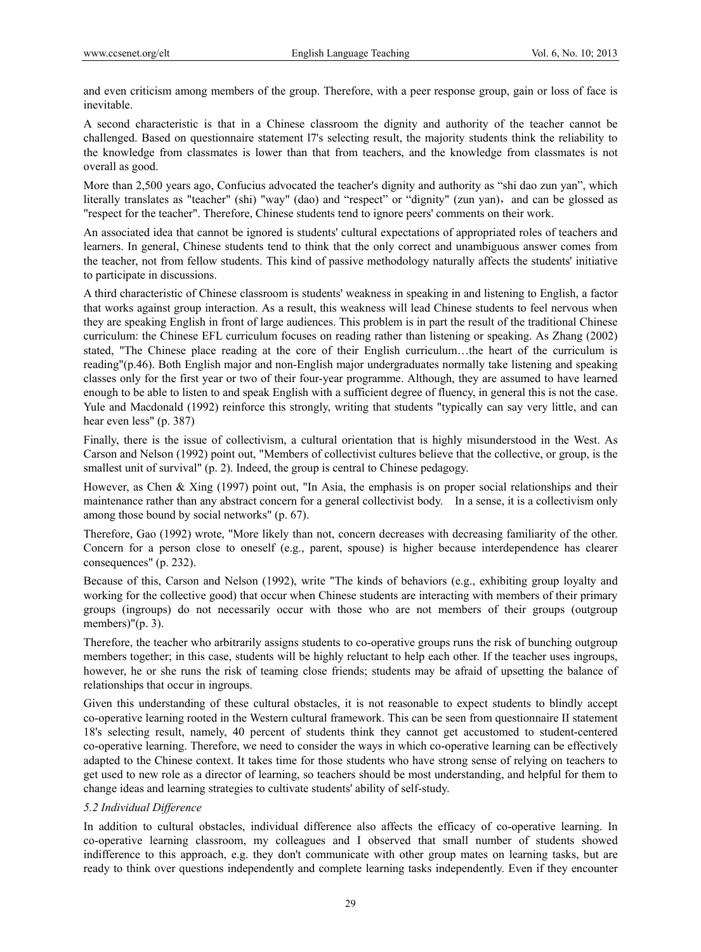and even criticism among members of the group. Therefore, with a peer response group, gain or loss of face is inevitable.

A second characteristic is that in a Chinese classroom the dignity and authority of the teacher cannot be challenged. Based on questionnaire statement l7's selecting result, the majority students think the reliability to the knowledge from classmates is lower than that from teachers, and the knowledge from classmates is not overall as good.

More than 2,500 years ago, Confucius advocated the teacher's dignity and authority as "shi dao zun yan", which literally translates as "teacher" (shi) "way" (dao) and "respect" or "dignity" (zun yan), and can be glossed as "respect for the teacher". Therefore, Chinese students tend to ignore peers' comments on their work.

An associated idea that cannot be ignored is students' cultural expectations of appropriated roles of teachers and learners. In general, Chinese students tend to think that the only correct and unambiguous answer comes from the teacher, not from fellow students. This kind of passive methodology naturally affects the students' initiative to participate in discussions.

A third characteristic of Chinese classroom is students' weakness in speaking in and listening to English, a factor that works against group interaction. As a result, this weakness will lead Chinese students to feel nervous when they are speaking English in front of large audiences. This problem is in part the result of the traditional Chinese curriculum: the Chinese EFL curriculum focuses on reading rather than listening or speaking. As Zhang (2002) stated, "The Chinese place reading at the core of their English curriculum…the heart of the curriculum is reading"(p.46). Both English major and non-English major undergraduates normally take listening and speaking classes only for the first year or two of their four-year programme. Although, they are assumed to have learned enough to be able to listen to and speak English with a sufficient degree of fluency, in general this is not the case. Yule and Macdonald (1992) reinforce this strongly, writing that students "typically can say very little, and can hear even less" (p. 387)

Finally, there is the issue of collectivism, a cultural orientation that is highly misunderstood in the West. As Carson and Nelson (1992) point out, "Members of collectivist cultures believe that the collective, or group, is the smallest unit of survival" (p. 2). Indeed, the group is central to Chinese pedagogy.

However, as Chen & Xing (1997) point out, "In Asia, the emphasis is on proper social relationships and their maintenance rather than any abstract concern for a general collectivist body. In a sense, it is a collectivism only among those bound by social networks" (p. 67).

Therefore, Gao (1992) wrote, "More likely than not, concern decreases with decreasing familiarity of the other. Concern for a person close to oneself (e.g., parent, spouse) is higher because interdependence has clearer consequences" (p. 232).

Because of this, Carson and Nelson (1992), write "The kinds of behaviors (e.g., exhibiting group loyalty and working for the collective good) that occur when Chinese students are interacting with members of their primary groups (ingroups) do not necessarily occur with those who are not members of their groups (outgroup members)"(p. 3).

Therefore, the teacher who arbitrarily assigns students to co-operative groups runs the risk of bunching outgroup members together; in this case, students will be highly reluctant to help each other. If the teacher uses ingroups, however, he or she runs the risk of teaming close friends; students may be afraid of upsetting the balance of relationships that occur in ingroups.

Given this understanding of these cultural obstacles, it is not reasonable to expect students to blindly accept co-operative learning rooted in the Western cultural framework. This can be seen from questionnaire II statement 18's selecting result, namely, 40 percent of students think they cannot get accustomed to student-centered co-operative learning. Therefore, we need to consider the ways in which co-operative learning can be effectively adapted to the Chinese context. It takes time for those students who have strong sense of relying on teachers to get used to new role as a director of learning, so teachers should be most understanding, and helpful for them to change ideas and learning strategies to cultivate students' ability of self-study.

#### *5.2 Individual Difference*

In addition to cultural obstacles, individual difference also affects the efficacy of co-operative learning. In co-operative learning classroom, my colleagues and I observed that small number of students showed indifference to this approach, e.g. they don't communicate with other group mates on learning tasks, but are ready to think over questions independently and complete learning tasks independently. Even if they encounter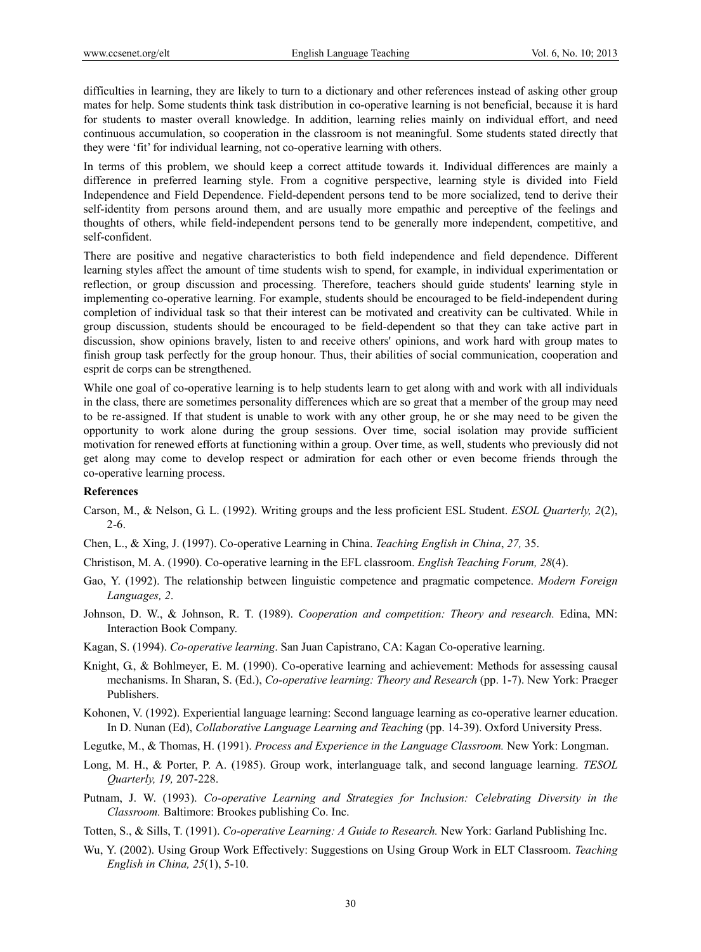difficulties in learning, they are likely to turn to a dictionary and other references instead of asking other group mates for help. Some students think task distribution in co-operative learning is not beneficial, because it is hard for students to master overall knowledge. In addition, learning relies mainly on individual effort, and need continuous accumulation, so cooperation in the classroom is not meaningful. Some students stated directly that they were 'fit' for individual learning, not co-operative learning with others.

In terms of this problem, we should keep a correct attitude towards it. Individual differences are mainly a difference in preferred learning style. From a cognitive perspective, learning style is divided into Field Independence and Field Dependence. Field-dependent persons tend to be more socialized, tend to derive their self-identity from persons around them, and are usually more empathic and perceptive of the feelings and thoughts of others, while field-independent persons tend to be generally more independent, competitive, and self-confident.

There are positive and negative characteristics to both field independence and field dependence. Different learning styles affect the amount of time students wish to spend, for example, in individual experimentation or reflection, or group discussion and processing. Therefore, teachers should guide students' learning style in implementing co-operative learning. For example, students should be encouraged to be field-independent during completion of individual task so that their interest can be motivated and creativity can be cultivated. While in group discussion, students should be encouraged to be field-dependent so that they can take active part in discussion, show opinions bravely, listen to and receive others' opinions, and work hard with group mates to finish group task perfectly for the group honour. Thus, their abilities of social communication, cooperation and esprit de corps can be strengthened.

While one goal of co-operative learning is to help students learn to get along with and work with all individuals in the class, there are sometimes personality differences which are so great that a member of the group may need to be re-assigned. If that student is unable to work with any other group, he or she may need to be given the opportunity to work alone during the group sessions. Over time, social isolation may provide sufficient motivation for renewed efforts at functioning within a group. Over time, as well, students who previously did not get along may come to develop respect or admiration for each other or even become friends through the co-operative learning process.

#### **References**

- Carson, M., & Nelson, G. L. (1992). Writing groups and the less proficient ESL Student. *ESOL Quarterly, 2*(2), 2-6.
- Chen, L., & Xing, J. (1997). Co-operative Learning in China. *Teaching English in China*, *27,* 35.
- Christison, M. A. (1990). Co-operative learning in the EFL classroom. *English Teaching Forum, 28*(4).
- Gao, Y. (1992). The relationship between linguistic competence and pragmatic competence. *Modern Foreign Languages, 2*.
- Johnson, D. W., & Johnson, R. T. (1989). *Cooperation and competition: Theory and research.* Edina, MN: Interaction Book Company.
- Kagan, S. (1994). *Co-operative learning*. San Juan Capistrano, CA: Kagan Co-operative learning.
- Knight, G., & Bohlmeyer, E. M. (1990). Co-operative learning and achievement: Methods for assessing causal mechanisms. In Sharan, S. (Ed.), *Co-operative learning: Theory and Research* (pp. 1-7). New York: Praeger Publishers.
- Kohonen, V. (1992). Experiential language learning: Second language learning as co-operative learner education. In D. Nunan (Ed), *Collaborative Language Learning and Teaching* (pp. 14-39). Oxford University Press.
- Legutke, M., & Thomas, H. (1991). *Process and Experience in the Language Classroom.* New York: Longman.
- Long, M. H., & Porter, P. A. (1985). Group work, interlanguage talk, and second language learning. *TESOL Quarterly, 19,* 207-228.
- Putnam, J. W. (1993). *Co-operative Learning and Strategies for Inclusion: Celebrating Diversity in the Classroom.* Baltimore: Brookes publishing Co. Inc.
- Totten, S., & Sills, T. (1991). *Co-operative Learning: A Guide to Research.* New York: Garland Publishing Inc.
- Wu, Y. (2002). Using Group Work Effectively: Suggestions on Using Group Work in ELT Classroom. *Teaching English in China, 25*(1), 5-10.